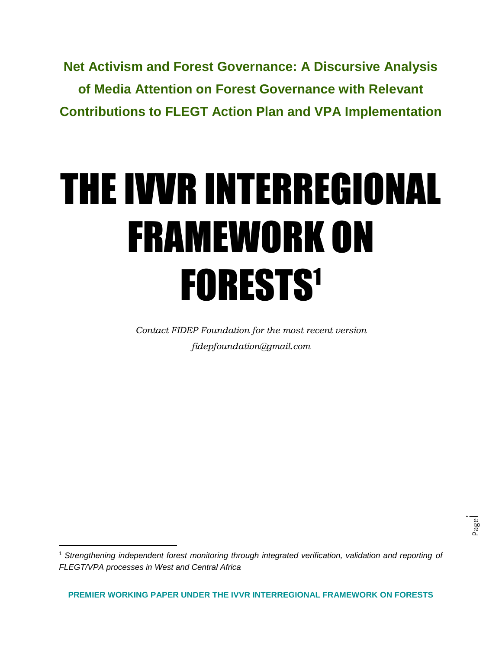**Net Activism and Forest Governance: A Discursive Analysis of Media Attention on Forest Governance with Relevant Contributions to FLEGT Action Plan and VPA Implementation**

# THE IVVR INTERREGIONAL FRAMEWORK ON FORESTS<sup>1</sup>

*Contact FIDEP Foundation for the most recent version fidepfoundation@gmail.com*

 $\overline{a}$ 

<sup>1</sup> *Strengthening independent forest monitoring through integrated verification, validation and reporting of FLEGT/VPA processes in West and Central Africa*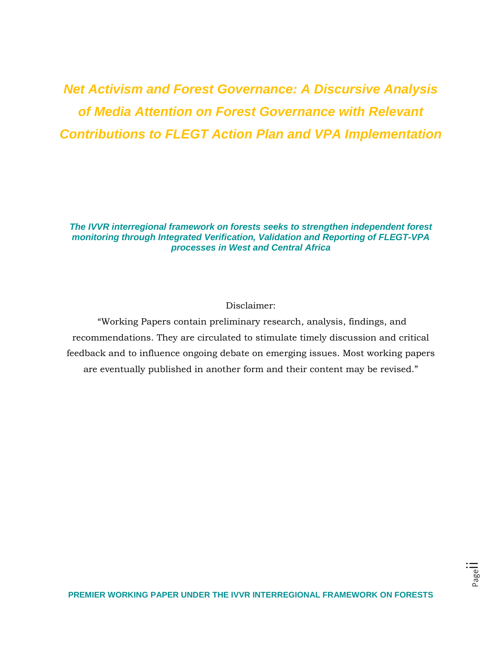# *Net Activism and Forest Governance: A Discursive Analysis of Media Attention on Forest Governance with Relevant Contributions to FLEGT Action Plan and VPA Implementation*

*The IVVR interregional framework on forests seeks to strengthen independent forest monitoring through Integrated Verification, Validation and Reporting of FLEGT-VPA processes in West and Central Africa*

# Disclaimer:

"Working Papers contain preliminary research, analysis, findings, and recommendations. They are circulated to stimulate timely discussion and critical feedback and to influence ongoing debate on emerging issues. Most working papers are eventually published in another form and their content may be revised."

Page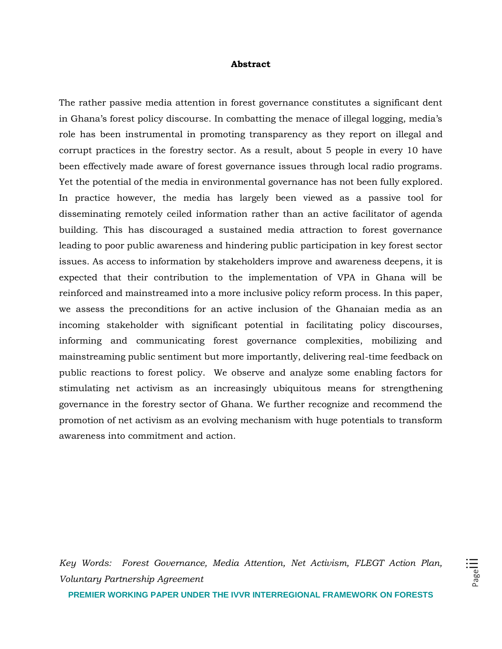#### **Abstract**

The rather passive media attention in forest governance constitutes a significant dent in Ghana's forest policy discourse. In combatting the menace of illegal logging, media's role has been instrumental in promoting transparency as they report on illegal and corrupt practices in the forestry sector. As a result, about 5 people in every 10 have been effectively made aware of forest governance issues through local radio programs. Yet the potential of the media in environmental governance has not been fully explored. In practice however, the media has largely been viewed as a passive tool for disseminating remotely ceiled information rather than an active facilitator of agenda building. This has discouraged a sustained media attraction to forest governance leading to poor public awareness and hindering public participation in key forest sector issues. As access to information by stakeholders improve and awareness deepens, it is expected that their contribution to the implementation of VPA in Ghana will be reinforced and mainstreamed into a more inclusive policy reform process. In this paper, we assess the preconditions for an active inclusion of the Ghanaian media as an incoming stakeholder with significant potential in facilitating policy discourses, informing and communicating forest governance complexities, mobilizing and mainstreaming public sentiment but more importantly, delivering real-time feedback on public reactions to forest policy. We observe and analyze some enabling factors for stimulating net activism as an increasingly ubiquitous means for strengthening governance in the forestry sector of Ghana. We further recognize and recommend the promotion of net activism as an evolving mechanism with huge potentials to transform awareness into commitment and action.

*Key Words: Forest Governance, Media Attention, Net Activism, FLEGT Action Plan, Voluntary Partnership Agreement*

Page<sup>l</sup>

**PREMIER WORKING PAPER UNDER THE IVVR INTERREGIONAL FRAMEWORK ON FORESTS**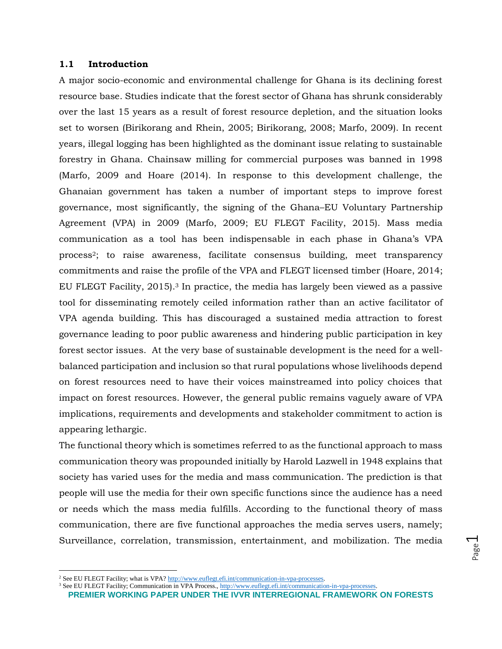#### **1.1 Introduction**

A major socio-economic and environmental challenge for Ghana is its declining forest resource base. Studies indicate that the forest sector of Ghana has shrunk considerably over the last 15 years as a result of forest resource depletion, and the situation looks set to worsen (Birikorang and Rhein, 2005; Birikorang, 2008; Marfo, 2009). In recent years, illegal logging has been highlighted as the dominant issue relating to sustainable forestry in Ghana. Chainsaw milling for commercial purposes was banned in 1998 (Marfo, 2009 and Hoare (2014). In response to this development challenge, the Ghanaian government has taken a number of important steps to improve forest governance, most significantly, the signing of the Ghana–EU Voluntary Partnership Agreement (VPA) in 2009 (Marfo, 2009; EU FLEGT Facility, 2015). Mass media communication as a tool has been indispensable in each phase in Ghana's VPA process2; to raise awareness, facilitate consensus building, meet transparency commitments and raise the profile of the VPA and FLEGT licensed timber (Hoare, 2014; EU FLEGT Facility, 2015).<sup>3</sup> In practice, the media has largely been viewed as a passive tool for disseminating remotely ceiled information rather than an active facilitator of VPA agenda building. This has discouraged a sustained media attraction to forest governance leading to poor public awareness and hindering public participation in key forest sector issues. At the very base of sustainable development is the need for a wellbalanced participation and inclusion so that rural populations whose livelihoods depend on forest resources need to have their voices mainstreamed into policy choices that impact on forest resources. However, the general public remains vaguely aware of VPA implications, requirements and developments and stakeholder commitment to action is appearing lethargic.

The functional theory which is sometimes referred to as the functional approach to mass communication theory was propounded initially by Harold Lazwell in 1948 explains that society has varied uses for the media and mass communication. The prediction is that people will use the media for their own specific functions since the audience has a need or needs which the mass media fulfills. According to the functional theory of mass communication, there are five functional approaches the media serves users, namely; Surveillance, correlation, transmission, entertainment, and mobilization. The media

l

<sup>&</sup>lt;sup>2</sup> See EU FLEGT Facility; what is VPA[? http://www.euflegt.efi.int/communication-in-vpa-processes.](http://www.euflegt.efi.int/communication-in-vpa-processes)

**PREMIER WORKING PAPER UNDER THE IVVR INTERREGIONAL FRAMEWORK ON FORESTS** <sup>3</sup> See EU FLEGT Facility; Communication in VPA Process., http://www.euflegt.efi.int/communication-in-vpa-processes.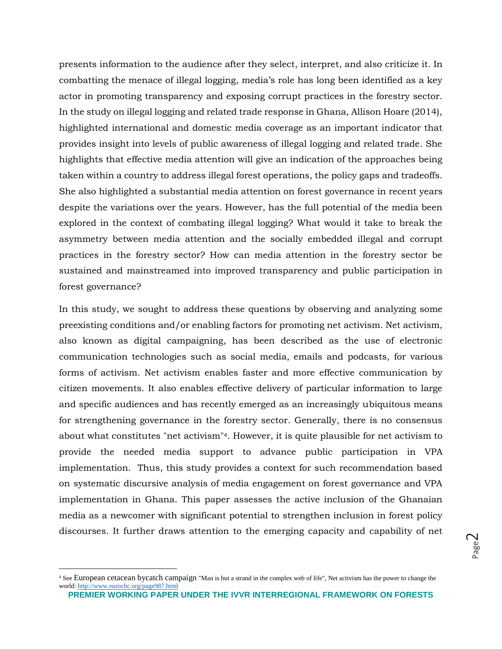presents information to the audience after they select, interpret, and also criticize it. In combatting the menace of illegal logging, media's role has long been identified as a key actor in promoting transparency and exposing corrupt practices in the forestry sector. In the study on illegal logging and related trade response in Ghana, Allison Hoare (2014), highlighted international and domestic media coverage as an important indicator that provides insight into levels of public awareness of illegal logging and related trade. She highlights that effective media attention will give an indication of the approaches being taken within a country to address illegal forest operations, the policy gaps and tradeoffs. She also highlighted a substantial media attention on forest governance in recent years despite the variations over the years. However, has the full potential of the media been explored in the context of combating illegal logging? What would it take to break the asymmetry between media attention and the socially embedded illegal and corrupt practices in the forestry sector? How can media attention in the forestry sector be sustained and mainstreamed into improved transparency and public participation in forest governance?

In this study, we sought to address these questions by observing and analyzing some preexisting conditions and/or enabling factors for promoting net activism. Net activism, also known as digital campaigning, has been described as the use of electronic communication technologies such as social media, emails and podcasts, for various forms of activism. Net activism enables faster and more effective communication by citizen movements. It also enables effective delivery of particular information to large and specific audiences and has recently emerged as an increasingly ubiquitous means for strengthening governance in the forestry sector. Generally, there is no consensus about what constitutes "net activism"4. However, it is quite plausible for net activism to provide the needed media support to advance public participation in VPA implementation. Thus, this study provides a context for such recommendation based on systematic discursive analysis of media engagement on forest governance and VPA implementation in Ghana. This paper assesses the active inclusion of the Ghanaian media as a newcomer with significant potential to strengthen inclusion in forest policy discourses. It further draws attention to the emerging capacity and capability of net

 $\overline{a}$ 

<sup>4</sup> See European cetacean bycatch campaign "Man is but a strand in the complex web of life", Net activism has the power to change the world:<http://www.eurocbc.org/page987.html>

**PREMIER WORKING PAPER UNDER THE IVVR INTERREGIONAL FRAMEWORK ON FORESTS**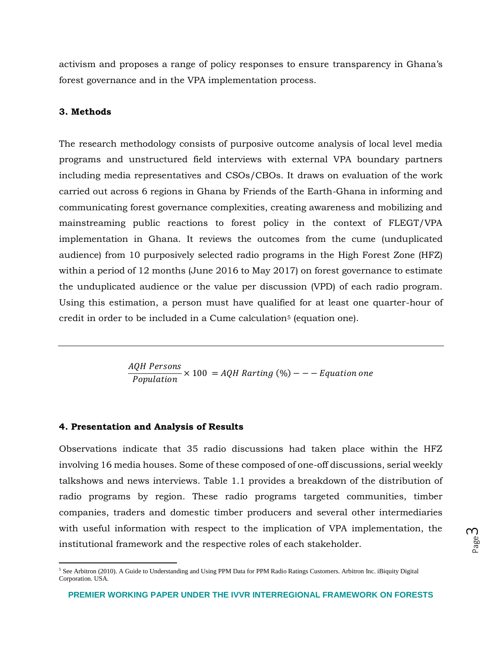activism and proposes a range of policy responses to ensure transparency in Ghana's forest governance and in the VPA implementation process.

#### **3. Methods**

 $\overline{\phantom{a}}$ 

The research methodology consists of purposive outcome analysis of local level media programs and unstructured field interviews with external VPA boundary partners including media representatives and CSOs/CBOs. It draws on evaluation of the work carried out across 6 regions in Ghana by Friends of the Earth-Ghana in informing and communicating forest governance complexities, creating awareness and mobilizing and mainstreaming public reactions to forest policy in the context of FLEGT/VPA implementation in Ghana. It reviews the outcomes from the cume (unduplicated audience) from 10 purposively selected radio programs in the High Forest Zone (HFZ) within a period of 12 months (June 2016 to May 2017) on forest governance to estimate the unduplicated audience or the value per discussion (VPD) of each radio program. Using this estimation, a person must have qualified for at least one quarter-hour of credit in order to be included in a Cume calculation<sup>5</sup> (equation one).

> AQH Persons  $\frac{R_{\text{C}}}{\text{Population}} \times 100 = AQH$  Rarting (%)  $--$  Equation one

#### **4. Presentation and Analysis of Results**

Observations indicate that 35 radio discussions had taken place within the HFZ involving 16 media houses. Some of these composed of one-off discussions, serial weekly talkshows and news interviews. Table 1.1 provides a breakdown of the distribution of radio programs by region. These radio programs targeted communities, timber companies, traders and domestic timber producers and several other intermediaries with useful information with respect to the implication of VPA implementation, the institutional framework and the respective roles of each stakeholder.

<sup>&</sup>lt;sup>5</sup> See Arbitron (2010). A Guide to Understanding and Using PPM Data for PPM Radio Ratings Customers. Arbitron Inc. iBiquity Digital Corporation. USA.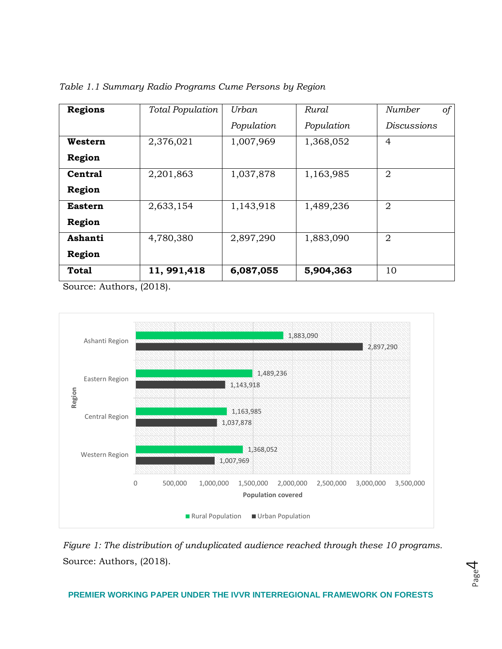| <b>Regions</b>                                        | Total Population        | Urban      | Rural      | $\circ f$<br>Number |
|-------------------------------------------------------|-------------------------|------------|------------|---------------------|
|                                                       |                         | Population | Population | <b>Discussions</b>  |
| Western                                               | 2,376,021               | 1,007,969  | 1,368,052  | 4                   |
| Region                                                |                         |            |            |                     |
| <b>Central</b>                                        | 2,201,863               | 1,037,878  | 1,163,985  | $\overline{2}$      |
| Region                                                |                         |            |            |                     |
| <b>Eastern</b>                                        | 2,633,154               | 1,143,918  | 1,489,236  | $\overline{2}$      |
| Region                                                |                         |            |            |                     |
| Ashanti                                               | 4,780,380               | 2,897,290  | 1,883,090  | $\overline{2}$      |
| Region                                                |                         |            |            |                     |
| <b>Total</b><br>$\sim$<br>$\sim$ $\sim$ $\sim$ $\sim$ | 11, 991, 418<br>(0.010) | 6,087,055  | 5,904,363  | 10                  |

*Table 1.1 Summary Radio Programs Cume Persons by Region*

Source: Authors, (2018).



*Figure 1: The distribution of unduplicated audience reached through these 10 programs.* Source: Authors, (2018).



# **PREMIER WORKING PAPER UNDER THE IVVR INTERREGIONAL FRAMEWORK ON FORESTS**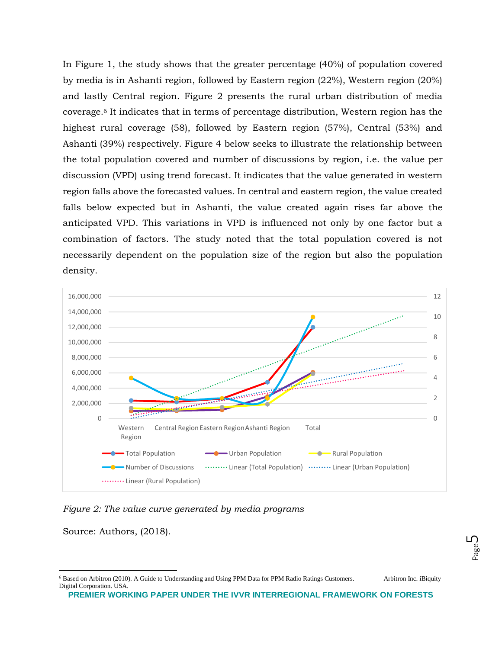In Figure 1, the study shows that the greater percentage (40%) of population covered by media is in Ashanti region, followed by Eastern region (22%), Western region (20%) and lastly Central region. Figure 2 presents the rural urban distribution of media coverage.<sup>6</sup> It indicates that in terms of percentage distribution, Western region has the highest rural coverage (58), followed by Eastern region (57%), Central (53%) and Ashanti (39%) respectively. Figure 4 below seeks to illustrate the relationship between the total population covered and number of discussions by region, i.e. the value per discussion (VPD) using trend forecast. It indicates that the value generated in western region falls above the forecasted values. In central and eastern region, the value created falls below expected but in Ashanti, the value created again rises far above the anticipated VPD. This variations in VPD is influenced not only by one factor but a combination of factors. The study noted that the total population covered is not necessarily dependent on the population size of the region but also the population density.



*Figure 2: The value curve generated by media programs* 

Source: Authors, (2018).

l

<sup>6</sup> Based on Arbitron (2010). A Guide to Understanding and Using PPM Data for PPM Radio Ratings Customers. Arbitron Inc. iBiquity Digital Corporation. USA.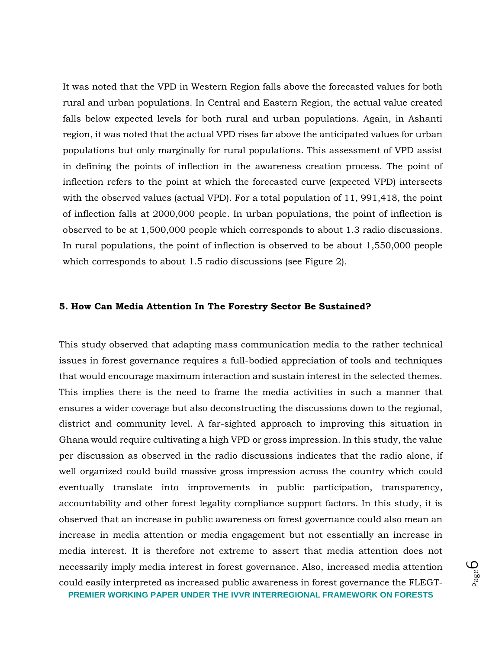It was noted that the VPD in Western Region falls above the forecasted values for both rural and urban populations. In Central and Eastern Region, the actual value created falls below expected levels for both rural and urban populations. Again, in Ashanti region, it was noted that the actual VPD rises far above the anticipated values for urban populations but only marginally for rural populations. This assessment of VPD assist in defining the points of inflection in the awareness creation process. The point of inflection refers to the point at which the forecasted curve (expected VPD) intersects with the observed values (actual VPD). For a total population of 11, 991,418, the point of inflection falls at 2000,000 people. In urban populations, the point of inflection is observed to be at 1,500,000 people which corresponds to about 1.3 radio discussions. In rural populations, the point of inflection is observed to be about 1,550,000 people which corresponds to about 1.5 radio discussions (see Figure 2).

# **5. How Can Media Attention In The Forestry Sector Be Sustained?**

**PREMIER WORKING PAPER UNDER THE IVVR INTERREGIONAL FRAMEWORK ON FORESTS** This study observed that adapting mass communication media to the rather technical issues in forest governance requires a full-bodied appreciation of tools and techniques that would encourage maximum interaction and sustain interest in the selected themes. This implies there is the need to frame the media activities in such a manner that ensures a wider coverage but also deconstructing the discussions down to the regional, district and community level. A far-sighted approach to improving this situation in Ghana would require cultivating a high VPD or gross impression. In this study, the value per discussion as observed in the radio discussions indicates that the radio alone, if well organized could build massive gross impression across the country which could eventually translate into improvements in public participation, transparency, accountability and other forest legality compliance support factors. In this study, it is observed that an increase in public awareness on forest governance could also mean an increase in media attention or media engagement but not essentially an increase in media interest. It is therefore not extreme to assert that media attention does not necessarily imply media interest in forest governance. Also, increased media attention could easily interpreted as increased public awareness in forest governance the FLEGT-

Page ص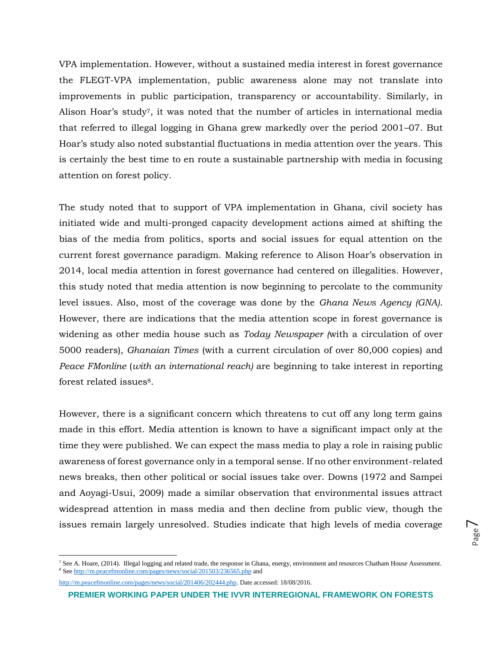VPA implementation. However, without a sustained media interest in forest governance the FLEGT-VPA implementation, public awareness alone may not translate into improvements in public participation, transparency or accountability. Similarly, in Alison Hoar's study7, it was noted that the number of articles in international media that referred to illegal logging in Ghana grew markedly over the period 2001–07. But Hoar's study also noted substantial fluctuations in media attention over the years. This is certainly the best time to en route a sustainable partnership with media in focusing attention on forest policy.

The study noted that to support of VPA implementation in Ghana, civil society has initiated wide and multi-pronged capacity development actions aimed at shifting the bias of the media from politics, sports and social issues for equal attention on the current forest governance paradigm. Making reference to Alison Hoar's observation in 2014, local media attention in forest governance had centered on illegalities. However, this study noted that media attention is now beginning to percolate to the community level issues. Also, most of the coverage was done by the *Ghana News Agency (GNA)*. However, there are indications that the media attention scope in forest governance is widening as other media house such as *Today Newspaper (*with a circulation of over 5000 readers)*, Ghanaian Times* (with a current circulation of over 80,000 copies) and *Peace FMonline* (*with an international reach)* are beginning to take interest in reporting forest related issues8.

However, there is a significant concern which threatens to cut off any long term gains made in this effort. Media attention is known to have a significant impact only at the time they were published. We can expect the mass media to play a role in raising public awareness of forest governance only in a temporal sense. If no other environment-related news breaks, then other political or social issues take over. Downs (1972 and Sampei and Aoyagi-Usui, 2009) made a similar observation that environmental issues attract widespread attention in mass media and then decline from public view, though the issues remain largely unresolved. Studies indicate that high levels of media coverage

[http://m.peacefmonline.com/pages/news/social/201406/202444.php.](http://m.peacefmonline.com/pages/news/social/201406/202444.php) Date accessed: 18/08/2016.

 $\overline{a}$ 

<sup>7</sup> See A. Hoare, (2014). Illegal logging and related trade, the response in Ghana, energy, environment and resources Chatham House Assessment. <sup>8</sup> Se[e http://m.peacefmonline.com/pages/news/social/201503/236565.php](http://m.peacefmonline.com/pages/news/social/201503/236565.php) and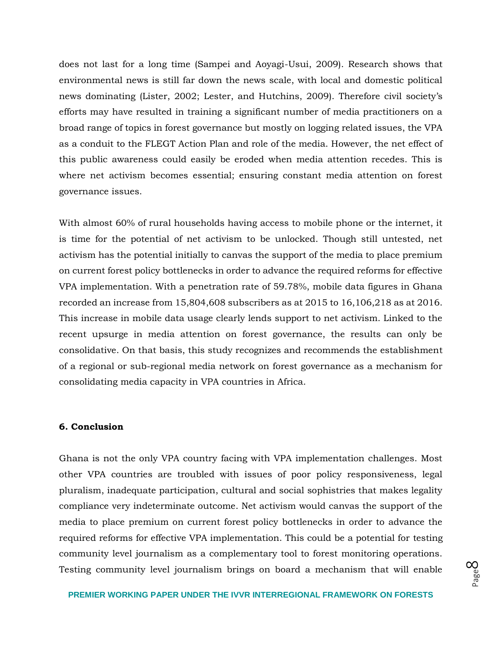does not last for a long time (Sampei and Aoyagi-Usui, 2009). Research shows that environmental news is still far down the news scale, with local and domestic political news dominating (Lister, 2002; Lester, and Hutchins, 2009). Therefore civil society's efforts may have resulted in training a significant number of media practitioners on a broad range of topics in forest governance but mostly on logging related issues, the VPA as a conduit to the FLEGT Action Plan and role of the media. However, the net effect of this public awareness could easily be eroded when media attention recedes. This is where net activism becomes essential; ensuring constant media attention on forest governance issues.

With almost 60% of rural households having access to mobile phone or the internet, it is time for the potential of net activism to be unlocked. Though still untested, net activism has the potential initially to canvas the support of the media to place premium on current forest policy bottlenecks in order to advance the required reforms for effective VPA implementation. With a penetration rate of 59.78%, mobile data figures in Ghana recorded an increase from 15,804,608 subscribers as at 2015 to 16,106,218 as at 2016. This increase in mobile data usage clearly lends support to net activism. Linked to the recent upsurge in media attention on forest governance, the results can only be consolidative. On that basis, this study recognizes and recommends the establishment of a regional or sub-regional media network on forest governance as a mechanism for consolidating media capacity in VPA countries in Africa.

#### **6. Conclusion**

Ghana is not the only VPA country facing with VPA implementation challenges. Most other VPA countries are troubled with issues of poor policy responsiveness, legal pluralism, inadequate participation, cultural and social sophistries that makes legality compliance very indeterminate outcome. Net activism would canvas the support of the media to place premium on current forest policy bottlenecks in order to advance the required reforms for effective VPA implementation. This could be a potential for testing community level journalism as a complementary tool to forest monitoring operations. Testing community level journalism brings on board a mechanism that will enable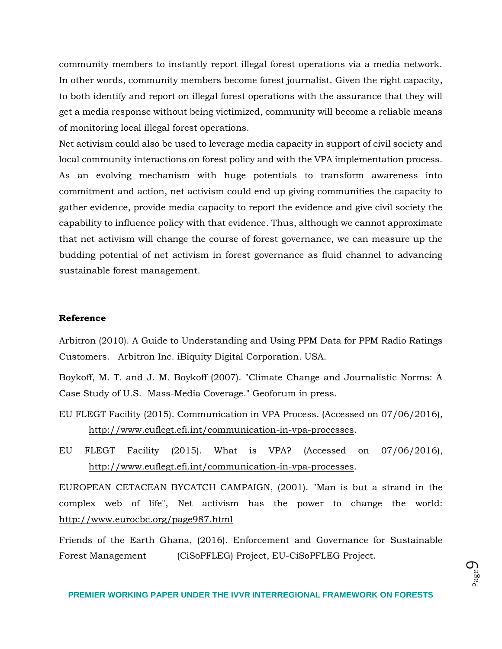community members to instantly report illegal forest operations via a media network. In other words, community members become forest journalist. Given the right capacity, to both identify and report on illegal forest operations with the assurance that they will get a media response without being victimized, community will become a reliable means of monitoring local illegal forest operations.

Net activism could also be used to leverage media capacity in support of civil society and local community interactions on forest policy and with the VPA implementation process. As an evolving mechanism with huge potentials to transform awareness into commitment and action, net activism could end up giving communities the capacity to gather evidence, provide media capacity to report the evidence and give civil society the capability to influence policy with that evidence. Thus, although we cannot approximate that net activism will change the course of forest governance, we can measure up the budding potential of net activism in forest governance as fluid channel to advancing sustainable forest management.

#### **Reference**

Arbitron (2010). A Guide to Understanding and Using PPM Data for PPM Radio Ratings Customers. Arbitron Inc. iBiquity Digital Corporation. USA.

Boykoff, M. T. and J. M. Boykoff (2007). "Climate Change and Journalistic Norms: A Case Study of U.S. Mass-Media Coverage." Geoforum in press.

- EU FLEGT Facility (2015). Communication in VPA Process. (Accessed on 07/06/2016), [http://www.euflegt.efi.int/communication-in-vpa-processes.](http://www.euflegt.efi.int/communication-in-vpa-processes)
- EU FLEGT Facility (2015). What is VPA? (Accessed on 07/06/2016), [http://www.euflegt.efi.int/communication-in-vpa-processes.](http://www.euflegt.efi.int/communication-in-vpa-processes)

EUROPEAN CETACEAN BYCATCH CAMPAIGN, (2001). "Man is but a strand in the complex web of life", Net activism has the power to change the world: <http://www.eurocbc.org/page987.html>

Friends of the Earth Ghana, (2016). Enforcement and Governance for Sustainable Forest Management (CiSoPFLEG) Project, EU-CiSoPFLEG Project.

Page  $\mathcal O$